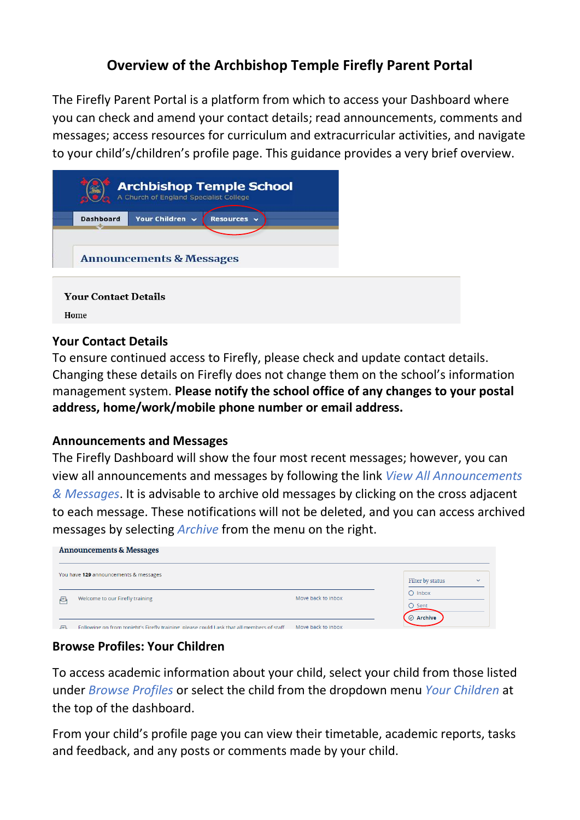## **Overview of the Archbishop Temple Firefly Parent Portal**

The Firefly Parent Portal is a platform from which to access your Dashboard where you can check and amend your contact details; read announcements, comments and messages; access resources for curriculum and extracurricular activities, and navigate to your child's/children's profile page. This guidance provides a very brief overview.

|                             | A Church of England Specialist College | <b>Archbishop Temple School</b> |  |
|-----------------------------|----------------------------------------|---------------------------------|--|
| <b>Dashboard</b>            | Your Children v                        | Resources v                     |  |
|                             | <b>Announcements &amp; Messages</b>    |                                 |  |
| <b>Your Contact Details</b> |                                        |                                 |  |
| Home                        |                                        |                                 |  |

### **Your Contact Details**

To ensure continued access to Firefly, please check and update contact details. Changing these details on Firefly does not change them on the school's information management system. **Please notify the school office of any changes to your postal address, home/work/mobile phone number or email address.** 

### **Announcements and Messages**

The Firefly Dashboard will show the four most recent messages; however, you can view all announcements and messages by following the link *View All Announcements & Messages*. It is advisable to archive old messages by clicking on the cross adjacent to each message. These notifications will not be deleted, and you can access archived messages by selecting *Archive* from the menu on the right.

| <b>Announcements &amp; Messages</b> |                                                                                          |                                  |                                          |  |  |  |  |
|-------------------------------------|------------------------------------------------------------------------------------------|----------------------------------|------------------------------------------|--|--|--|--|
|                                     | You have 129 announcements & messages                                                    | Filter by status<br>$\checkmark$ |                                          |  |  |  |  |
| 昼                                   | Welcome to our Firefly training                                                          | Move back to inbox               | $O$ Inbox<br>$O$ Sent<br>$\odot$ Archive |  |  |  |  |
| 肩                                   | Following on from tonight's Firefly training please could Lask that all members of staff | Move back to inbox               |                                          |  |  |  |  |

### **Browse Profiles: Your Children**

To access academic information about your child, select your child from those listed under *Browse Profiles* or select the child from the dropdown menu *Your Children* at the top of the dashboard.

From your child's profile page you can view their timetable, academic reports, tasks and feedback, and any posts or comments made by your child.